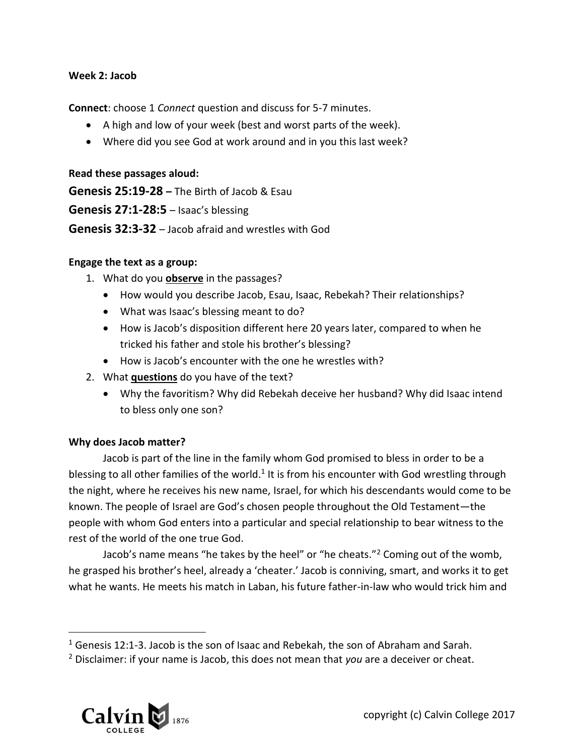#### **Week 2: Jacob**

**Connect**: choose 1 *Connect* question and discuss for 5-7 minutes.

- A high and low of your week (best and worst parts of the week).
- Where did you see God at work around and in you this last week?

### **Read these passages aloud:**

**Genesis 25:19-28 –** The Birth of Jacob & Esau **Genesis 27:1-28:5** – Isaac's blessing **Genesis 32:3-32** – Jacob afraid and wrestles with God

### **Engage the text as a group:**

- 1. What do you **observe** in the passages?
	- How would you describe Jacob, Esau, Isaac, Rebekah? Their relationships?
	- What was Isaac's blessing meant to do?
	- How is Jacob's disposition different here 20 years later, compared to when he tricked his father and stole his brother's blessing?
	- How is Jacob's encounter with the one he wrestles with?
- 2. What **questions** do you have of the text?
	- Why the favoritism? Why did Rebekah deceive her husband? Why did Isaac intend to bless only one son?

### **Why does Jacob matter?**

Jacob is part of the line in the family whom God promised to bless in order to be a blessing to all other families of the world.<sup>1</sup> It is from his encounter with God wrestling through the night, where he receives his new name, Israel, for which his descendants would come to be known. The people of Israel are God's chosen people throughout the Old Testament—the people with whom God enters into a particular and special relationship to bear witness to the rest of the world of the one true God.

Jacob's name means "he takes by the heel" or "he cheats."<sup>2</sup> Coming out of the womb, he grasped his brother's heel, already a 'cheater.' Jacob is conniving, smart, and works it to get what he wants. He meets his match in Laban, his future father-in-law who would trick him and

<sup>2</sup> Disclaimer: if your name is Jacob, this does not mean that *you* are a deceiver or cheat.



 $\overline{a}$ 

<sup>1</sup> Genesis 12:1-3. Jacob is the son of Isaac and Rebekah, the son of Abraham and Sarah.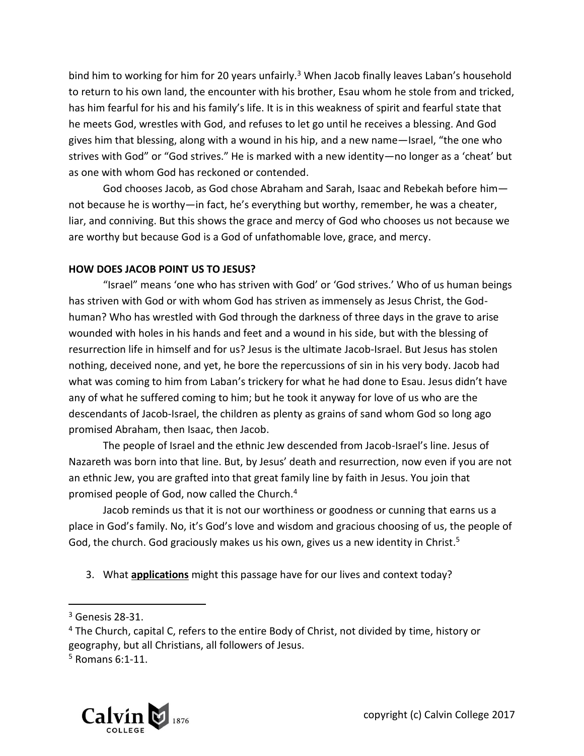bind him to working for him for 20 years unfairly.<sup>3</sup> When Jacob finally leaves Laban's household to return to his own land, the encounter with his brother, Esau whom he stole from and tricked, has him fearful for his and his family's life. It is in this weakness of spirit and fearful state that he meets God, wrestles with God, and refuses to let go until he receives a blessing. And God gives him that blessing, along with a wound in his hip, and a new name—Israel, "the one who strives with God" or "God strives." He is marked with a new identity—no longer as a 'cheat' but as one with whom God has reckoned or contended.

God chooses Jacob, as God chose Abraham and Sarah, Isaac and Rebekah before him not because he is worthy—in fact, he's everything but worthy, remember, he was a cheater, liar, and conniving. But this shows the grace and mercy of God who chooses us not because we are worthy but because God is a God of unfathomable love, grace, and mercy.

# **HOW DOES JACOB POINT US TO JESUS?**

"Israel" means 'one who has striven with God' or 'God strives.' Who of us human beings has striven with God or with whom God has striven as immensely as Jesus Christ, the Godhuman? Who has wrestled with God through the darkness of three days in the grave to arise wounded with holes in his hands and feet and a wound in his side, but with the blessing of resurrection life in himself and for us? Jesus is the ultimate Jacob-Israel. But Jesus has stolen nothing, deceived none, and yet, he bore the repercussions of sin in his very body. Jacob had what was coming to him from Laban's trickery for what he had done to Esau. Jesus didn't have any of what he suffered coming to him; but he took it anyway for love of us who are the descendants of Jacob-Israel, the children as plenty as grains of sand whom God so long ago promised Abraham, then Isaac, then Jacob.

The people of Israel and the ethnic Jew descended from Jacob-Israel's line. Jesus of Nazareth was born into that line. But, by Jesus' death and resurrection, now even if you are not an ethnic Jew, you are grafted into that great family line by faith in Jesus. You join that promised people of God, now called the Church.<sup>4</sup>

Jacob reminds us that it is not our worthiness or goodness or cunning that earns us a place in God's family. No, it's God's love and wisdom and gracious choosing of us, the people of God, the church. God graciously makes us his own, gives us a new identity in Christ.<sup>5</sup>

3. What **applications** might this passage have for our lives and context today?

 $\overline{a}$ 

 $5$  Romans 6:1-11.



 $3$  Genesis 28-31.

<sup>&</sup>lt;sup>4</sup> The Church, capital C, refers to the entire Body of Christ, not divided by time, history or geography, but all Christians, all followers of Jesus.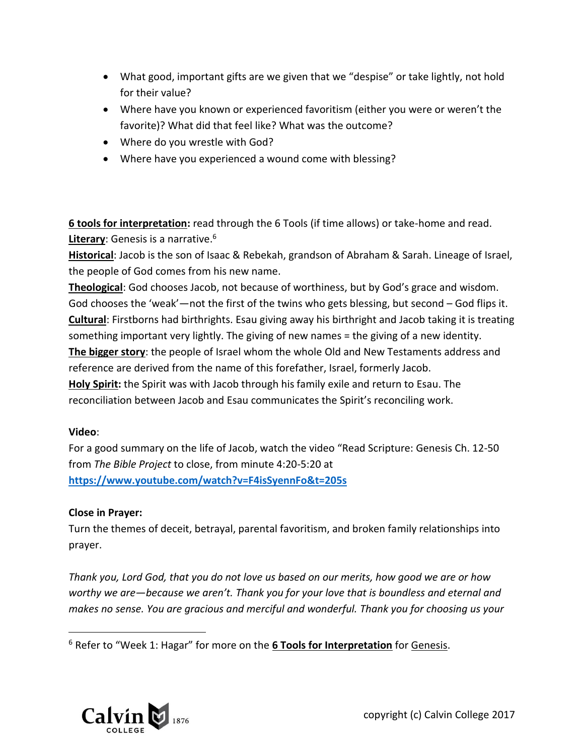- What good, important gifts are we given that we "despise" or take lightly, not hold for their value?
- Where have you known or experienced favoritism (either you were or weren't the favorite)? What did that feel like? What was the outcome?
- Where do you wrestle with God?
- Where have you experienced a wound come with blessing?

**6 tools for interpretation:** read through the 6 Tools (if time allows) or take-home and read. **Literary**: Genesis is a narrative. 6

**Historical**: Jacob is the son of Isaac & Rebekah, grandson of Abraham & Sarah. Lineage of Israel, the people of God comes from his new name.

**Theological**: God chooses Jacob, not because of worthiness, but by God's grace and wisdom. God chooses the 'weak'—not the first of the twins who gets blessing, but second – God flips it. **Cultural**: Firstborns had birthrights. Esau giving away his birthright and Jacob taking it is treating something important very lightly. The giving of new names = the giving of a new identity.

**The bigger story**: the people of Israel whom the whole Old and New Testaments address and reference are derived from the name of this forefather, Israel, formerly Jacob.

**Holy Spirit:** the Spirit was with Jacob through his family exile and return to Esau. The reconciliation between Jacob and Esau communicates the Spirit's reconciling work.

# **Video**:

 $\overline{a}$ 

For a good summary on the life of Jacob, watch the video "Read Scripture: Genesis Ch. 12-50 from *The Bible Project* to close, from minute 4:20-5:20 at **<https://www.youtube.com/watch?v=F4isSyennFo&t=205s>**

# **Close in Prayer:**

Turn the themes of deceit, betrayal, parental favoritism, and broken family relationships into prayer.

*Thank you, Lord God, that you do not love us based on our merits, how good we are or how worthy we are—because we aren't. Thank you for your love that is boundless and eternal and makes no sense. You are gracious and merciful and wonderful. Thank you for choosing us your* 



<sup>6</sup> Refer to "Week 1: Hagar" for more on the **6 Tools for Interpretation** for Genesis.